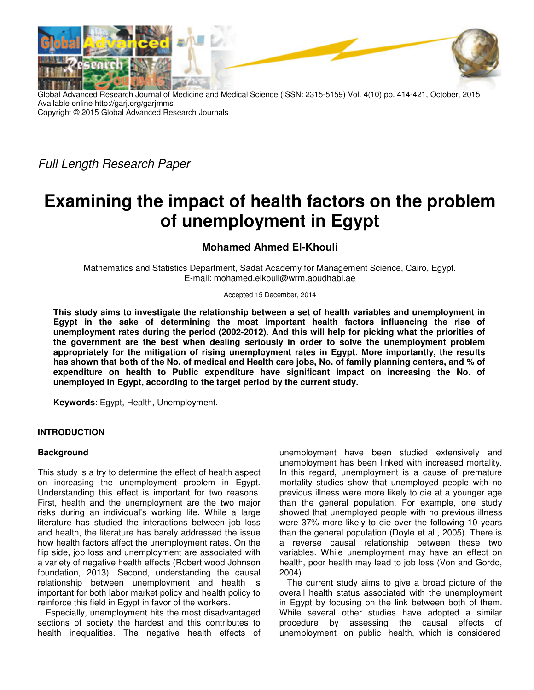

Global Advanced Research Journal of Medicine and Medical Science (ISSN: 2315-5159) Vol. 4(10) pp. 414-421, October, 2015 Available online http://garj.org/garjmms Copyright © 2015 Global Advanced Research Journals

Full Length Research Paper

# **Examining the impact of health factors on the problem of unemployment in Egypt**

# **Mohamed Ahmed El-Khouli**

Mathematics and Statistics Department, Sadat Academy for Management Science, Cairo, Egypt. E-mail: mohamed.elkouli@wrm.abudhabi.ae

Accepted 15 December, 2014

**This study aims to investigate the relationship between a set of health variables and unemployment in Egypt in the sake of determining the most important health factors influencing the rise of unemployment rates during the period (2002-2012). And this will help for picking what the priorities of the government are the best when dealing seriously in order to solve the unemployment problem appropriately for the mitigation of rising unemployment rates in Egypt. More importantly, the results has shown that both of the No. of medical and Health care jobs, No. of family planning centers, and % of expenditure on health to Public expenditure have significant impact on increasing the No. of unemployed in Egypt, according to the target period by the current study.** 

**Keywords**: Egypt, Health, Unemployment.

# **INTRODUCTION**

### **Background**

This study is a try to determine the effect of health aspect on increasing the unemployment problem in Egypt. Understanding this effect is important for two reasons. First, health and the unemployment are the two major risks during an individual's working life. While a large literature has studied the interactions between job loss and health, the literature has barely addressed the issue how health factors affect the unemployment rates. On the flip side, job loss and unemployment are associated with a variety of negative health effects (Robert wood Johnson foundation, 2013). Second, understanding the causal relationship between unemployment and health is important for both labor market policy and health policy to reinforce this field in Egypt in favor of the workers.

Especially, unemployment hits the most disadvantaged sections of society the hardest and this contributes to health inequalities. The negative health effects of unemployment have been studied extensively and unemployment has been linked with increased mortality. In this regard, unemployment is a cause of premature mortality studies show that unemployed people with no previous illness were more likely to die at a younger age than the general population. For example, one study showed that unemployed people with no previous illness were 37% more likely to die over the following 10 years than the general population (Doyle et al., 2005). There is a reverse causal relationship between these two variables. While unemployment may have an effect on health, poor health may lead to job loss (Von and Gordo, 2004).

The current study aims to give a broad picture of the overall health status associated with the unemployment in Egypt by focusing on the link between both of them. While several other studies have adopted a similar procedure by assessing the causal effects of unemployment on public health, which is considered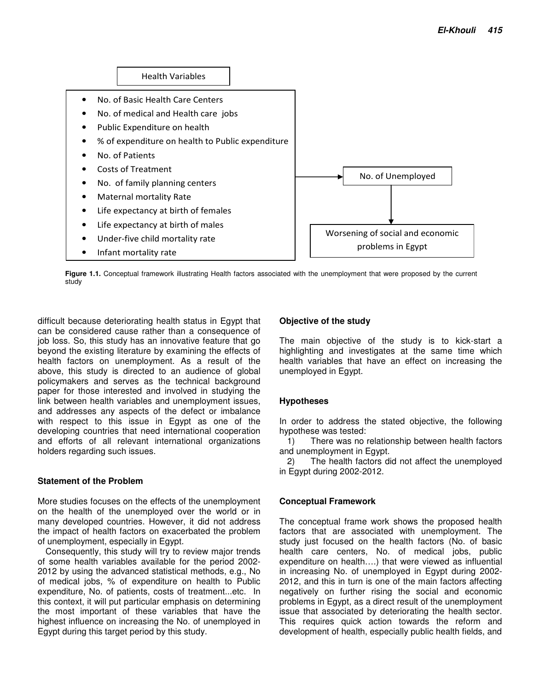

**Figure 1.1.** Conceptual framework illustrating Health factors associated with the unemployment that were proposed by the current study

difficult because deteriorating health status in Egypt that can be considered cause rather than a consequence of job loss. So, this study has an innovative feature that go beyond the existing literature by examining the effects of health factors on unemployment. As a result of the above, this study is directed to an audience of global policymakers and serves as the technical background paper for those interested and involved in studying the link between health variables and unemployment issues, and addresses any aspects of the defect or imbalance with respect to this issue in Egypt as one of the developing countries that need international cooperation and efforts of all relevant international organizations holders regarding such issues.

### **Statement of the Problem**

More studies focuses on the effects of the unemployment on the health of the unemployed over the world or in many developed countries. However, it did not address the impact of health factors on exacerbated the problem of unemployment, especially in Egypt.

Consequently, this study will try to review major trends of some health variables available for the period 2002- 2012 by using the advanced statistical methods, e.g., No of medical jobs, % of expenditure on health to Public expenditure, No. of patients, costs of treatment...etc. In this context, it will put particular emphasis on determining the most important of these variables that have the highest influence on increasing the No. of unemployed in Egypt during this target period by this study.

## **Objective of the study**

The main objective of the study is to kick-start a highlighting and investigates at the same time which health variables that have an effect on increasing the unemployed in Egypt.

### **Hypotheses**

In order to address the stated objective, the following hypothese was tested:

1) There was no relationship between health factors and unemployment in Egypt.

2) The health factors did not affect the unemployed in Egypt during 2002-2012.

### **Conceptual Framework**

The conceptual frame work shows the proposed health factors that are associated with unemployment. The study just focused on the health factors (No. of basic health care centers, No. of medical jobs, public expenditure on health….) that were viewed as influential in increasing No. of unemployed in Egypt during 2002- 2012, and this in turn is one of the main factors affecting negatively on further rising the social and economic problems in Egypt, as a direct result of the unemployment issue that associated by deteriorating the health sector. This requires quick action towards the reform and development of health, especially public health fields, and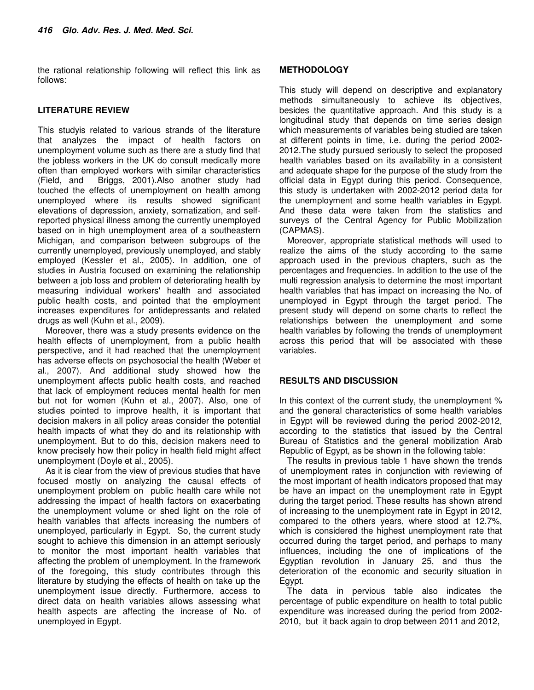the rational relationship following will reflect this link as follows:

### **LITERATURE REVIEW**

This studyis related to various strands of the literature that analyzes the impact of health factors on unemployment volume such as there are a study find that the jobless workers in the UK do consult medically more often than employed workers with similar characteristics (Field, and Briggs, 2001).Also another study had touched the effects of unemployment on health among unemployed where its results showed significant elevations of depression, anxiety, somatization, and selfreported physical illness among the currently unemployed based on in high unemployment area of a southeastern Michigan, and comparison between subgroups of the currently unemployed, previously unemployed, and stably employed (Kessler et al., 2005). In addition, one of studies in Austria focused on examining the relationship between a job loss and problem of deteriorating health by measuring individual workers' health and associated public health costs, and pointed that the employment increases expenditures for antidepressants and related drugs as well (Kuhn et al., 2009).

Moreover, there was a study presents evidence on the health effects of unemployment, from a public health perspective, and it had reached that the unemployment has adverse effects on psychosocial the health (Weber et al., 2007). And additional study showed how the unemployment affects public health costs, and reached that lack of employment reduces mental health for men but not for women (Kuhn et al., 2007). Also, one of studies pointed to improve health, it is important that decision makers in all policy areas consider the potential health impacts of what they do and its relationship with unemployment. But to do this, decision makers need to know precisely how their policy in health field might affect unemployment (Doyle et al., 2005).

As it is clear from the view of previous studies that have focused mostly on analyzing the causal effects of unemployment problem on public health care while not addressing the impact of health factors on exacerbating the unemployment volume or shed light on the role of health variables that affects increasing the numbers of unemployed, particularly in Egypt. So, the current study sought to achieve this dimension in an attempt seriously to monitor the most important health variables that affecting the problem of unemployment. In the framework of the foregoing, this study contributes through this literature by studying the effects of health on take up the unemployment issue directly. Furthermore, access to direct data on health variables allows assessing what health aspects are affecting the increase of No. of unemployed in Egypt.

### **METHODOLOGY**

This study will depend on descriptive and explanatory methods simultaneously to achieve its objectives, besides the quantitative approach. And this study is a longitudinal study that depends on time series design which measurements of variables being studied are taken at different points in time, i.e. during the period 2002- 2012.The study pursued seriously to select the proposed health variables based on its availability in a consistent and adequate shape for the purpose of the study from the official data in Egypt during this period. Consequence, this study is undertaken with 2002-2012 period data for the unemployment and some health variables in Egypt. And these data were taken from the statistics and surveys of the Central Agency for Public Mobilization (CAPMAS).

Moreover, appropriate statistical methods will used to realize the aims of the study according to the same approach used in the previous chapters, such as the percentages and frequencies. In addition to the use of the multi regression analysis to determine the most important health variables that has impact on increasing the No. of unemployed in Egypt through the target period. The present study will depend on some charts to reflect the relationships between the unemployment and some health variables by following the trends of unemployment across this period that will be associated with these variables.

#### **RESULTS AND DISCUSSION**

In this context of the current study, the unemployment % and the general characteristics of some health variables in Egypt will be reviewed during the period 2002-2012, according to the statistics that issued by the Central Bureau of Statistics and the general mobilization Arab Republic of Egypt, as be shown in the following table:

The results in previous table 1 have shown the trends of unemployment rates in conjunction with reviewing of the most important of health indicators proposed that may be have an impact on the unemployment rate in Egypt during the target period. These results has shown atrend of increasing to the unemployment rate in Egypt in 2012, compared to the others years, where stood at 12.7%, which is considered the highest unemployment rate that occurred during the target period, and perhaps to many influences, including the one of implications of the Egyptian revolution in January 25, and thus the deterioration of the economic and security situation in Egypt.

The data in pervious table also indicates the percentage of public expenditure on health to total public expenditure was increased during the period from 2002- 2010, but it back again to drop between 2011 and 2012,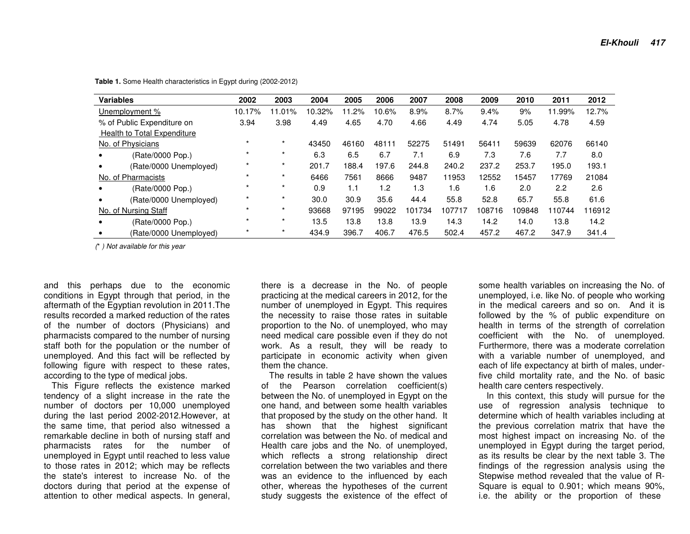| <b>Variables</b>                   | 2002    | 2003     | 2004   | 2005  | 2006  | 2007   | 2008   | 2009   | 2010   | 2011   | 2012   |
|------------------------------------|---------|----------|--------|-------|-------|--------|--------|--------|--------|--------|--------|
| Unemployment %                     | 10.17%  | $1.01\%$ | 10.32% | 11.2% | 10.6% | 8.9%   | 8.7%   | 9.4%   | 9%     | 11.99% | 12.7%  |
| % of Public Expenditure on         | 3.94    | 3.98     | 4.49   | 4.65  | 4.70  | 4.66   | 4.49   | 4.74   | 5.05   | 4.78   | 4.59   |
| <b>Health to Total Expenditure</b> |         |          |        |       |       |        |        |        |        |        |        |
| No. of Physicians                  | $\star$ | $\star$  | 43450  | 46160 | 48111 | 52275  | 51491  | 5641   | 59639  | 62076  | 66140  |
| (Rate/0000 Pop.)                   | $\star$ | $\star$  | 6.3    | 6.5   | 6.7   | 7.1    | 6.9    | 7.3    | 7.6    | 7.7    | 8.0    |
| (Rate/0000 Unemployed)             |         | $\star$  | 201.7  | 188.4 | 197.6 | 244.8  | 240.2  | 237.2  | 253.7  | 195.0  | 193.1  |
| No. of Pharmacists                 |         | $\star$  | 6466   | 7561  | 8666  | 9487   | 11953  | 12552  | 15457  | 17769  | 21084  |
| (Rate/0000 Pop.)                   | $\star$ | $\star$  | 0.9    | 1.1   | 1.2   | 1.3    | 1.6    | 1.6    | 2.0    | 2.2    | 2.6    |
| (Rate/0000 Unemployed)             | $\star$ | $\star$  | 30.0   | 30.9  | 35.6  | 44.4   | 55.8   | 52.8   | 65.7   | 55.8   | 61.6   |
| No. of Nursing Staff               | $\star$ | $\star$  | 93668  | 97195 | 99022 | 101734 | 107717 | 108716 | 109848 | 110744 | 116912 |
| (Rate/0000 Pop.)                   | $\star$ | $\star$  | 13.5   | 13.8  | 13.8  | 13.9   | 14.3   | 14.2   | 14.0   | 13.8   | 14.2   |
| (Rate/0000 Unemployed)             |         | $\star$  | 434.9  | 396.7 | 406.7 | 476.5  | 502.4  | 457.2  | 467.2  | 347.9  | 341.4  |

**Table 1.** Some Health characteristics in Egypt during (2002-2012)

(\* ) Not available for this year

and this perhaps due to the economic conditions in Egypt through that period, in the aftermath of the Egyptian revolution in 2011.The results recorded a marked reduction of the rates of the number of doctors (Physicians) and pharmacists compared to the number of nursing staff both for the population or the number of unemployed. And this fact will be reflected by following figure with respect to these rates, according to the type of medical jobs.

 This Figure reflects the existence marked tendency of a slight increase in the rate the number of doctors per 10,000 unemployed during the last period 2002-2012.However, at the same time, that period also witnessed a remarkable decline in both of nursing staff and pharmacists rates for the number of unemployed in Egypt until reached to less value to those rates in 2012; which may be reflects the state's interest to increase No. of the doctors during that period at the expense of attention to other medical aspects. In general, there is a decrease in the No. of people practicing at the medical careers in 2012, for the number of unemployed in Egypt. This requires the necessity to raise those rates in suitable proportion to the No. of unemployed, who may need medical care possible even if they do not work. As a result, they will be ready to participate in economic activity when given them the chance.

 The results in table 2 have shown the values of the Pearson correlation coefficient(s) between the No. of unemployed in Egypt on the one hand, and between some health variables that proposed by the study on the other hand. It has shown that the highest significant correlation was between the No. of medical and Health care jobs and the No. of unemployed, which reflects a strong relationship direct correlation between the two variables and there was an evidence to the influenced by each other, whereas the hypotheses of the current study suggests the existence of the effect of some health variables on increasing the No. of unemployed, i.e. like No. of people who working in the medical careers and so on. And it is followed by the % of public expenditure on health in terms of the strength of correlation coefficient with the No. of unemployed. Furthermore, there was a moderate correlation with a variable number of unemployed, and each of life expectancy at birth of males, underfive child mortality rate, and the No. of basic health care centers respectively.

 In this context, this study will pursue for the use of regression analysis technique to determine which of health variables including at the previous correlation matrix that have the most highest impact on increasing No. of the unemployed in Egypt during the target period, as its results be clear by the next table 3. The findings of the regression analysis using the Stepwise method revealed that the value of R-Square is equal to 0.901; which means 90%, i.e. the ability or the proportion of these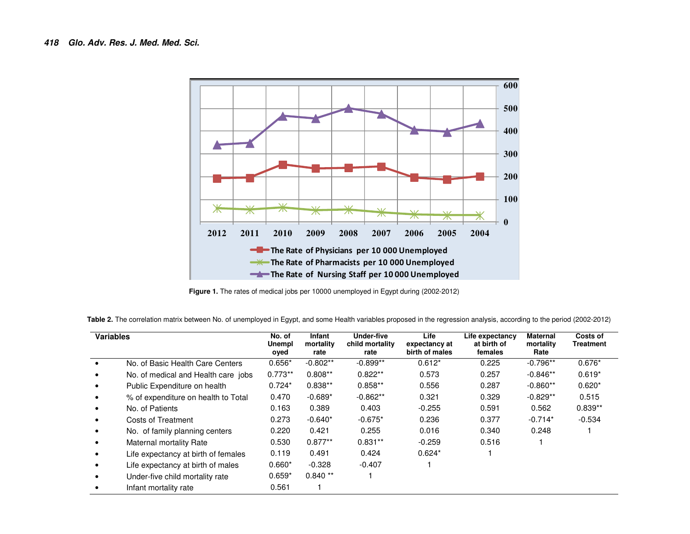

**Figure 1.** The rates of medical jobs per 10000 unemployed in Egypt during (2002-2012)

| Table 2. The correlation matrix between No. of unemployed in Egypt, and some Health variables proposed in the regression analysis, according to the period (2002-2012) |  |  |
|------------------------------------------------------------------------------------------------------------------------------------------------------------------------|--|--|
|------------------------------------------------------------------------------------------------------------------------------------------------------------------------|--|--|

| <b>Variables</b> |                                     | No. of<br>Unempl<br>oyed | Infant<br>mortality<br>rate | Under-five<br>child mortality<br>rate | Life<br>expectancy at<br>birth of males | Life expectancy<br>at birth of<br>females | <b>Maternal</b><br>mortality<br>Rate | Costs of<br>Treatment |
|------------------|-------------------------------------|--------------------------|-----------------------------|---------------------------------------|-----------------------------------------|-------------------------------------------|--------------------------------------|-----------------------|
|                  | No. of Basic Health Care Centers    | $0.656*$                 | $-0.802**$                  | $-0.899**$                            | $0.612*$                                | 0.225                                     | $-0.796**$                           | $0.676*$              |
|                  | No. of medical and Health care jobs | $0.773**$                | $0.808**$                   | $0.822**$                             | 0.573                                   | 0.257                                     | $-0.846**$                           | $0.619*$              |
|                  | Public Expenditure on health        | $0.724*$                 | $0.838**$                   | $0.858**$                             | 0.556                                   | 0.287                                     | $-0.860**$                           | $0.620*$              |
|                  | % of expenditure on health to Total | 0.470                    | $-0.689*$                   | $-0.862**$                            | 0.321                                   | 0.329                                     | $-0.829**$                           | 0.515                 |
|                  | No. of Patients                     | 0.163                    | 0.389                       | 0.403                                 | $-0.255$                                | 0.591                                     | 0.562                                | $0.839**$             |
|                  | Costs of Treatment                  | 0.273                    | $-0.640*$                   | $-0.675*$                             | 0.236                                   | 0.377                                     | $-0.714*$                            | $-0.534$              |
|                  | No. of family planning centers      | 0.220                    | 0.421                       | 0.255                                 | 0.016                                   | 0.340                                     | 0.248                                |                       |
|                  | Maternal mortality Rate             | 0.530                    | $0.877**$                   | $0.831**$                             | $-0.259$                                | 0.516                                     |                                      |                       |
|                  | Life expectancy at birth of females | 0.119                    | 0.491                       | 0.424                                 | $0.624*$                                |                                           |                                      |                       |
|                  | Life expectancy at birth of males   | $0.660*$                 | $-0.328$                    | $-0.407$                              |                                         |                                           |                                      |                       |
|                  | Under-five child mortality rate     | $0.659*$                 | $0.840**$                   |                                       |                                         |                                           |                                      |                       |
|                  | Infant mortality rate               | 0.561                    |                             |                                       |                                         |                                           |                                      |                       |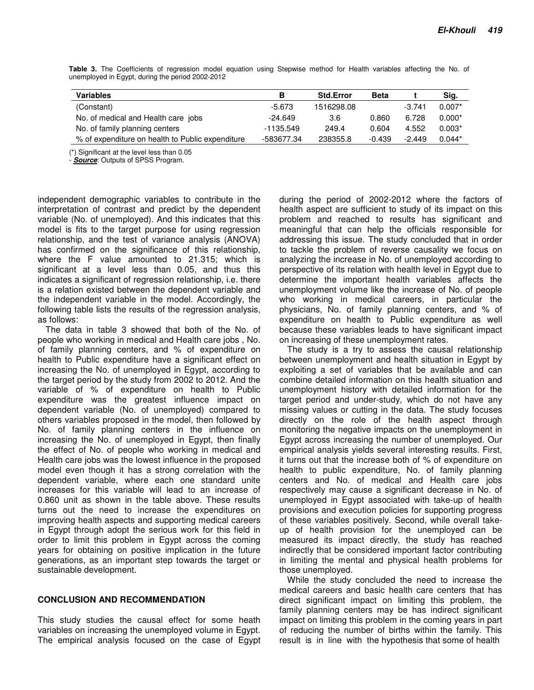| <b>Variables</b>                                 | в          | <b>Std.Error</b> | Beta     |          | Sig.     |
|--------------------------------------------------|------------|------------------|----------|----------|----------|
| (Constant)                                       | -5.673     | 1516298.08       |          | $-3.741$ | $0.007*$ |
| No. of medical and Health care jobs              | $-24.649$  | 3.6              | 0.860    | 6.728    | $0.000*$ |
| No. of family planning centers                   | -1135.549  | 249.4            | 0.604    | 4.552    | $0.003*$ |
| % of expenditure on health to Public expenditure | -583677.34 | 238355.8         | $-0.439$ | $-2.449$ | $0.044*$ |

**Table 3.** The Coefficients of regression model equation using Stepwise method for Health variables affecting the No. of unemployed in Egypt, during the period 2002-2012

(\*) Significant at the level less than 0.05

**Source:** Outputs of SPSS Program.

independent demographic variables to contribute in the interpretation of contrast and predict by the dependent variable (No. of unemployed). And this indicates that this model is fits to the target purpose for using regression relationship, and the test of variance analysis (ANOVA) has confirmed on the significance of this relationship, where the F value amounted to 21.315; which is significant at a level less than 0.05, and thus this indicates a significant of regression relationship, i.e. there is a relation existed between the dependent variable and the independent variable in the model. Accordingly, the following table lists the results of the regression analysis, as follows:

The data in table 3 showed that both of the No. of people who working in medical and Health care jobs , No. of family planning centers, and % of expenditure on health to Public expenditure have a significant effect on increasing the No. of unemployed in Egypt, according to the target period by the study from 2002 to 2012. And the variable of % of expenditure on health to Public expenditure was the greatest influence impact on dependent variable (No. of unemployed) compared to others variables proposed in the model, then followed by No. of family planning centers in the influence on increasing the No. of unemployed in Egypt, then finally the effect of No. of people who working in medical and Health care jobs was the lowest influence in the proposed model even though it has a strong correlation with the dependent variable, where each one standard unite increases for this variable will lead to an increase of 0.860 unit as shown in the table above. These results turns out the need to increase the expenditures on improving health aspects and supporting medical careers in Egypt through adopt the serious work for this field in order to limit this problem in Egypt across the coming years for obtaining on positive implication in the future generations, as an important step towards the target or sustainable development.

#### **CONCLUSION AND RECOMMENDATION**

This study studies the causal effect for some heath variables on increasing the unemployed volume in Egypt. The empirical analysis focused on the case of Egypt

during the period of 2002-2012 where the factors of health aspect are sufficient to study of its impact on this problem and reached to results has significant and meaningful that can help the officials responsible for addressing this issue. The study concluded that in order to tackle the problem of reverse causality we focus on analyzing the increase in No. of unemployed according to perspective of its relation with health level in Egypt due to determine the important health variables affects the unemployment volume like the increase of No. of people who working in medical careers, in particular the physicians, No. of family planning centers, and % of expenditure on health to Public expenditure as well because these variables leads to have significant impact on increasing of these unemployment rates.

The study is a try to assess the causal relationship between unemployment and health situation in Egypt by exploiting a set of variables that be available and can combine detailed information on this health situation and unemployment history with detailed information for the target period and under-study, which do not have any missing values or cutting in the data. The study focuses directly on the role of the health aspect through monitoring the negative impacts on the unemployment in Egypt across increasing the number of unemployed. Our empirical analysis yields several interesting results. First, it turns out that the increase both of % of expenditure on health to public expenditure, No. of family planning centers and No. of medical and Health care jobs respectively may cause a significant decrease in No. of unemployed in Egypt associated with take-up of health provisions and execution policies for supporting progress of these variables positively. Second, while overall takeup of health provision for the unemployed can be measured its impact directly, the study has reached indirectly that be considered important factor contributing in limiting the mental and physical health problems for those unemployed.

While the study concluded the need to increase the medical careers and basic health care centers that has direct significant impact on limiting this problem, the family planning centers may be has indirect significant impact on limiting this problem in the coming years in part of reducing the number of births within the family. This result is in line with the hypothesis that some of health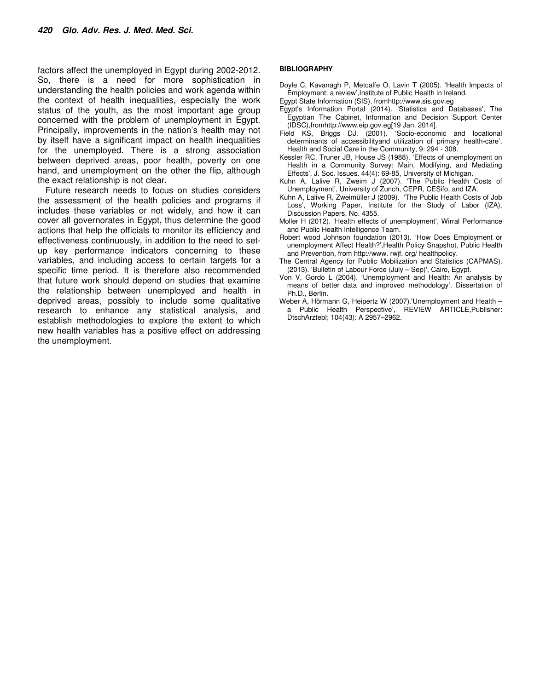factors affect the unemployed in Egypt during 2002-2012. So, there is a need for more sophistication in understanding the health policies and work agenda within the context of health inequalities, especially the work status of the youth, as the most important age group concerned with the problem of unemployment in Egypt. Principally, improvements in the nation's health may not by itself have a significant impact on health inequalities for the unemployed. There is a strong association between deprived areas, poor health, poverty on one hand, and unemployment on the other the flip, although the exact relationship is not clear.

Future research needs to focus on studies considers the assessment of the health policies and programs if includes these variables or not widely, and how it can cover all governorates in Egypt, thus determine the good actions that help the officials to monitor its efficiency and effectiveness continuously, in addition to the need to setup key performance indicators concerning to these variables, and including access to certain targets for a specific time period. It is therefore also recommended that future work should depend on studies that examine the relationship between unemployed and health in deprived areas, possibly to include some qualitative research to enhance any statistical analysis, and establish methodologies to explore the extent to which new health variables has a positive effect on addressing the unemployment.

#### **BIBLIOGRAPHY**

- Doyle C, Kavanagh P, Metcalfe O, Lavin T (2005). 'Health Impacts of Employment: a review',Institute of Public Health in Ireland.
- Egypt State Information (SIS), fromhttp://www.sis.gov.eg
- Egypt's Information Portal (2014). 'Statistics and Databases', The Egyptian The Cabinet, Information and Decision Support Center (IDSC),fromhttp://www.eip.gov.eg[19 Jan. 2014].
- Field KS, Briggs DJ. (2001). 'Socio-economic and locational determinants of accessibilityand utilization of primary health-care', Health and Social Care in the Community, 9: 294 - 308.
- Kessler RC, Truner JB, House JS (1988). 'Effects of unemployment on Health in a Community Survey: Main, Modifying, and Mediating Effects', J. Soc. Issues. 44(4): 69-85, University of Michigan.
- Kuhn A, Lalive R, Zweim J (2007). 'The Public Health Costs of Unemployment', University of Zurich, CEPR, CESifo, and IZA.
- Kuhn A, Lalive R, Zweimüller J (2009). 'The Public Health Costs of Job Loss', Working Paper, Institute for the Study of Labor (IZA), Discussion Papers, No. 4355.
- Moller H (2012). 'Health effects of unemployment', Wirral Performance and Public Health Intelligence Team.
- Robert wood Johnson foundation (2013). 'How Does Employment or unemployment Affect Health?',Health Policy Snapshot, Public Health and Prevention, from http://www. rwjf. org/ healthpolicy.
- The Central Agency for Public Mobilization and Statistics (CAPMAS). (2013). 'Bulletin of Labour Force (July – Sep)', Cairo, Egypt.
- Von V, Gordo L (2004). 'Unemployment and Health: An analysis by means of better data and improved methodology', Dissertation of Ph.D., Berlin.
- Weber A, Hörmann G, Heipertz W (2007).'Unemployment and Health a Public Health Perspective', REVIEW ARTICLE,Publisher: DtschArztebl; 104(43): A 2957–2962.